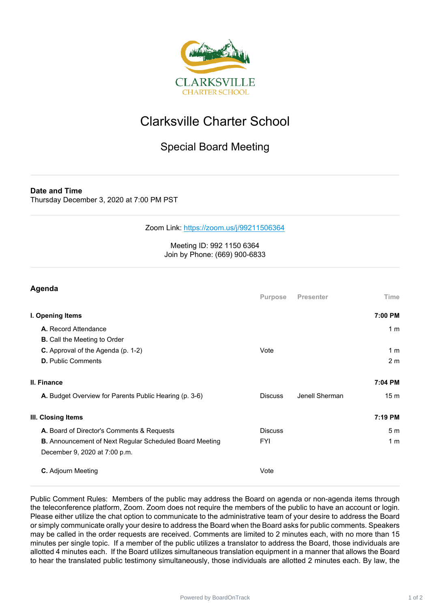

## Clarksville Charter School

## Special Board Meeting

**Date and Time**

Thursday December 3, 2020 at 7:00 PM PST

Zoom Link: <https://zoom.us/j/99211506364>

## Meeting ID: 992 1150 6364 Join by Phone: (669) 900-6833

| Agenda                                                         |                |                  |                 |
|----------------------------------------------------------------|----------------|------------------|-----------------|
|                                                                | Purpose        | <b>Presenter</b> | Time            |
| I. Opening Items                                               |                |                  | 7:00 PM         |
| A. Record Attendance                                           |                |                  | 1 <sub>m</sub>  |
| <b>B.</b> Call the Meeting to Order                            |                |                  |                 |
| C. Approval of the Agenda (p. 1-2)                             | Vote           |                  | 1 <sub>m</sub>  |
| <b>D.</b> Public Comments                                      |                |                  | 2 <sub>m</sub>  |
| II. Finance                                                    |                |                  | 7:04 PM         |
| A. Budget Overview for Parents Public Hearing (p. 3-6)         | <b>Discuss</b> | Jenell Sherman   | 15 <sub>m</sub> |
| III. Closing Items                                             |                |                  | 7:19 PM         |
| A. Board of Director's Comments & Requests                     | <b>Discuss</b> |                  | 5 <sub>m</sub>  |
| <b>B.</b> Announcement of Next Regular Scheduled Board Meeting | <b>FYI</b>     |                  | 1 <sub>m</sub>  |
| December 9, 2020 at 7:00 p.m.                                  |                |                  |                 |
| C. Adjourn Meeting                                             | Vote           |                  |                 |

Public Comment Rules: Members of the public may address the Board on agenda or non-agenda items through the teleconference platform, Zoom. Zoom does not require the members of the public to have an account or login. Please either utilize the chat option to communicate to the administrative team of your desire to address the Board or simply communicate orally your desire to address the Board when the Board asks for public comments. Speakers may be called in the order requests are received. Comments are limited to 2 minutes each, with no more than 15 minutes per single topic. If a member of the public utilizes a translator to address the Board, those individuals are allotted 4 minutes each. If the Board utilizes simultaneous translation equipment in a manner that allows the Board to hear the translated public testimony simultaneously, those individuals are allotted 2 minutes each. By law, the